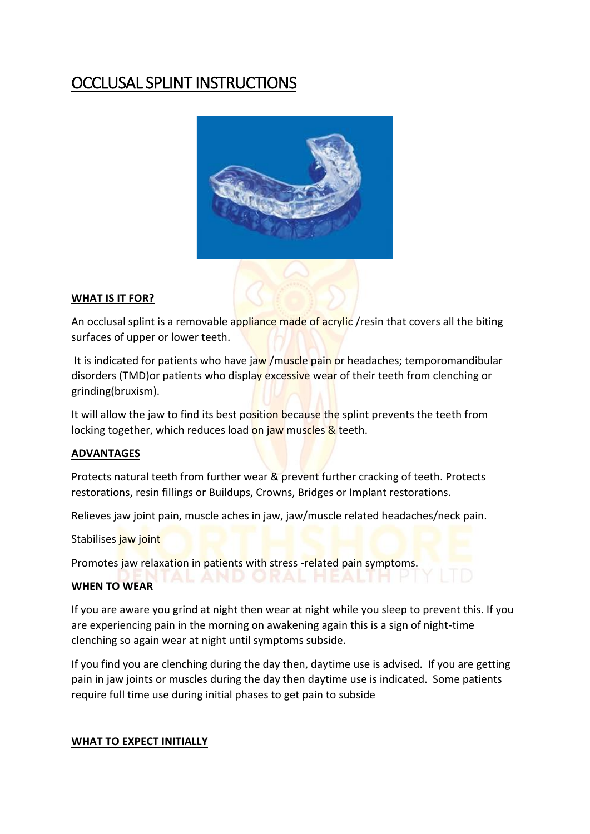## OCCLUSAL SPLINT INSTRUCTIONS



## **WHAT IS IT FOR?**

An occlusal splint is a removable appliance made of acrylic /resin that covers all the biting surfaces of upper or lower teeth.

It is indicated for patients who have jaw /muscle pain or headaches; temporomandibular disorders (TMD) or patients who display excessive wear of their teeth from clenching or grinding(bruxism).

It will allow the jaw to find its best position because the splint prevents the teeth from locking together, which reduces load on jaw muscles & teeth.

## **ADVANTAGES**

Protects natural teeth from further wear & prevent further cracking of teeth. Protects restorations, resin fillings or Buildups, Crowns, Bridges or Implant restorations.

Relieves jaw joint pain, muscle aches in jaw, jaw/muscle related headaches/neck pain.

Stabilises jaw joint

Promotes jaw relaxation in patients with stress -related pain symptoms.

## **WHEN TO WEAR**

If you are aware you grind at night then wear at night while you sleep to prevent this. If you are experiencing pain in the morning on awakening again this is a sign of night-time clenching so again wear at night until symptoms subside.

If you find you are clenching during the day then, daytime use is advised. If you are getting pain in jaw joints or muscles during the day then daytime use is indicated. Some patients require full time use during initial phases to get pain to subside

## **WHAT TO EXPECT INITIALLY**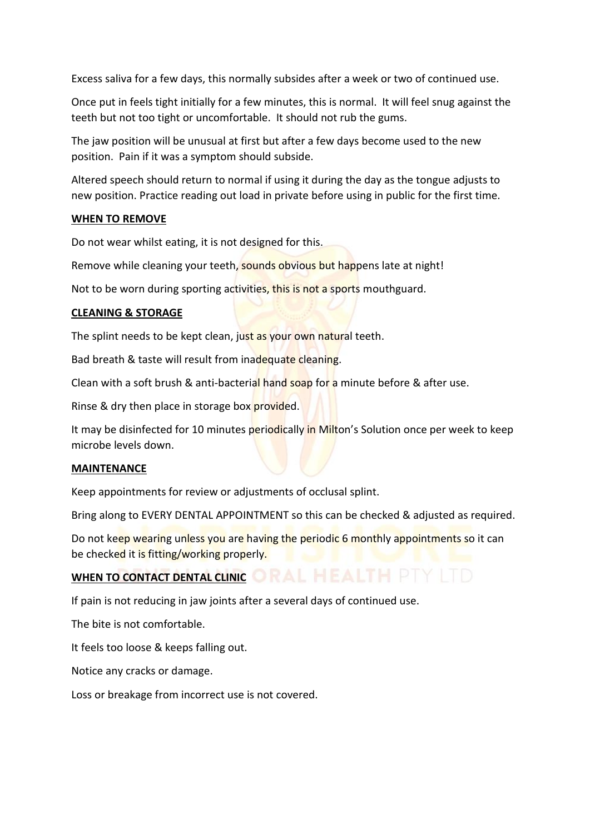Excess saliva for a few days, this normally subsides after a week or two of continued use.

Once put in feels tight initially for a few minutes, this is normal. It will feel snug against the teeth but not too tight or uncomfortable. It should not rub the gums.

The jaw position will be unusual at first but after a few days become used to the new position. Pain if it was a symptom should subside.

Altered speech should return to normal if using it during the day as the tongue adjusts to new position. Practice reading out load in private before using in public for the first time.

## **WHEN TO REMOVE**

Do not wear whilst eating, it is not designed for this.

Remove while cleaning your teeth, sounds obvious but happens late at night!

Not to be worn during sporting activities, this is not a sports mouthguard.

#### **CLEANING & STORAGE**

The splint needs to be kept clean, just as your own natural teeth.

Bad breath & taste will result from inadequate cleaning.

Clean with a soft brush & anti-bacterial hand soap for a minute before & after use.

Rinse & dry then place in storage box provided.

It may be disinfected for 10 minutes periodically in Milton's Solution once per week to keep microbe levels down.

#### **MAINTENANCE**

Keep appointments for review or adjustments of occlusal splint.

Bring along to EVERY DENTAL APPOINTMENT so this can be checked & adjusted as required.

Do not keep wearing unless you are having the periodic 6 monthly appointments so it can be checked it is fitting/working properly.

# WHEN TO CONTACT DENTAL CLINIC ORAL HEALTH PTY ITD

If pain is not reducing in jaw joints after a several days of continued use.

The bite is not comfortable.

It feels too loose & keeps falling out.

Notice any cracks or damage.

Loss or breakage from incorrect use is not covered.